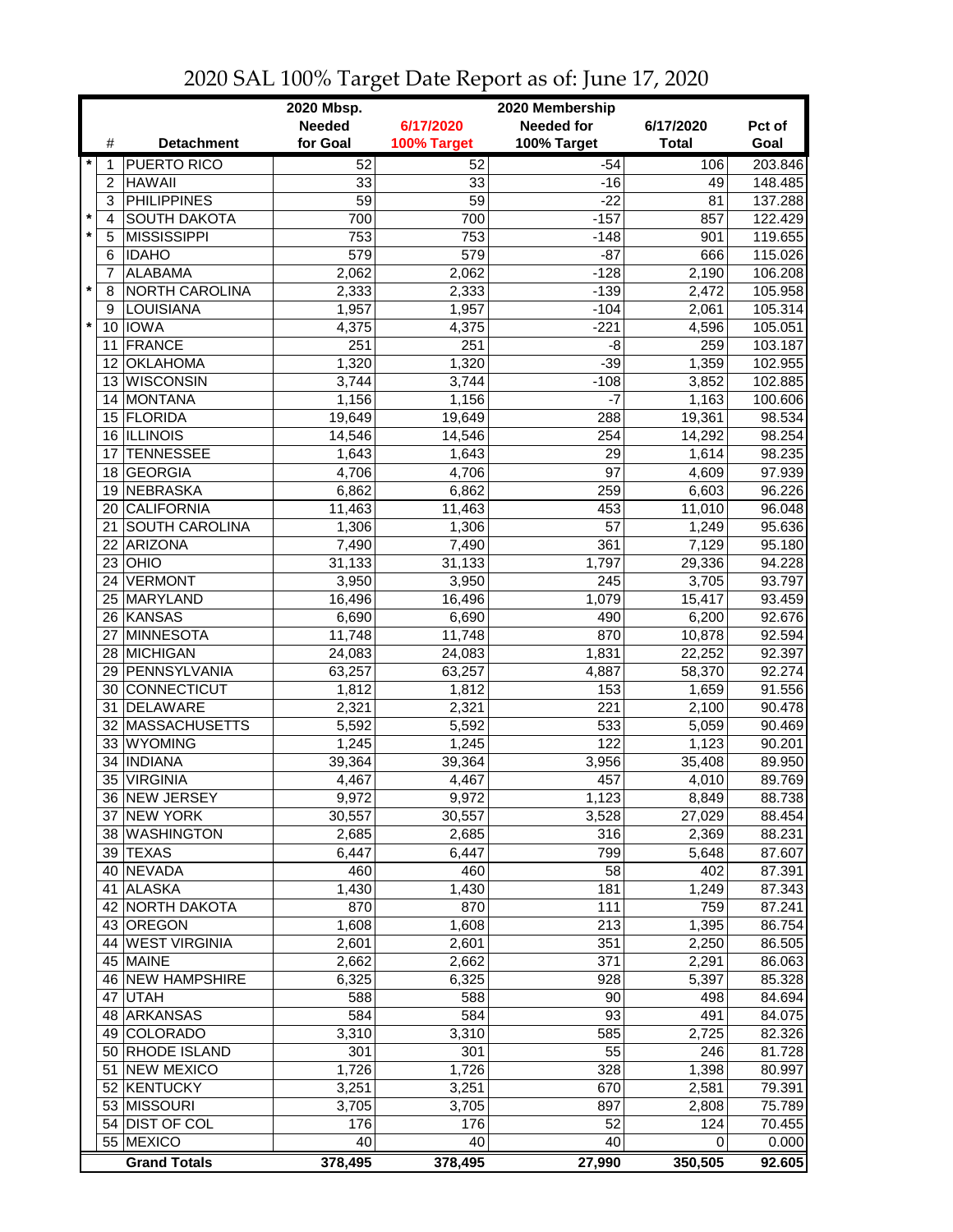|         |                |                               | 2020 Mbsp.<br>2020 Membership |                |                   |                |                    |  |
|---------|----------------|-------------------------------|-------------------------------|----------------|-------------------|----------------|--------------------|--|
|         |                |                               | <b>Needed</b>                 | 6/17/2020      | <b>Needed for</b> | 6/17/2020      | Pct of             |  |
|         | #              | <b>Detachment</b>             | for Goal                      | 100% Target    | 100% Target       | <b>Total</b>   | Goal               |  |
| $\star$ | 1              | <b>PUERTO RICO</b>            | 52                            | 52             | $-54$             | 106            | 203.846            |  |
|         | $\overline{2}$ | <b>HAWAII</b>                 | 33                            | 33             | $-16$             | 49             | 148.485            |  |
|         | 3              | <b>PHILIPPINES</b>            | 59                            | 59             | $-22$             | 81             | 137.288            |  |
| $\star$ | 4              | <b>SOUTH DAKOTA</b>           | 700                           | 700            | $-157$            | 857            | 122.429            |  |
| $\star$ | 5              | <b>MISSISSIPPI</b>            | 753                           | 753            | $-148$            | 901            | 119.655            |  |
|         | 6              | <b>IDAHO</b>                  | 579                           | 579            | $-87$             | 666            | 115.026            |  |
| $\star$ | 7              | <b>ALABAMA</b>                | 2,062                         | 2,062          | $-128$            | 2,190          | 106.208            |  |
|         | 8              | NORTH CAROLINA                | 2,333                         | 2,333          | $-139$<br>$-104$  | 2,472          | 105.958            |  |
| $\star$ | 9              | LOUISIANA<br>10 IOWA          | 1,957<br>4,375                | 1,957<br>4,375 | $-221$            | 2,061<br>4,596 | 105.314<br>105.051 |  |
|         |                | 11 FRANCE                     | 251                           | 251            | -8                | 259            | 103.187            |  |
|         | 12             | <b>OKLAHOMA</b>               | 1,320                         | 1,320          | $-39$             | 1,359          | 102.955            |  |
|         |                | 13 WISCONSIN                  | 3,744                         | 3,744          | $-108$            | 3,852          | 102.885            |  |
|         |                | 14 MONTANA                    | 1,156                         | 1,156          | $-7$              | 1,163          | 100.606            |  |
|         |                | 15 FLORIDA                    | 19,649                        | 19,649         | 288               | 19,361         | 98.534             |  |
|         |                | 16 ILLINOIS                   | 14,546                        | 14,546         | 254               | 14,292         | 98.254             |  |
|         | 17             | <b>TENNESSEE</b>              | 1,643                         | 1,643          | 29                | 1,614          | 98.235             |  |
|         | 18             | <b>GEORGIA</b>                | 4,706                         | 4,706          | 97                | 4,609          | 97.939             |  |
|         | 19             | NEBRASKA                      | 6,862                         | 6,862          | 259               | 6,603          | 96.226             |  |
|         | 20             | <b>CALIFORNIA</b>             | 11,463                        | 11,463         | 453               | 11,010         | 96.048             |  |
|         | 21             | <b>SOUTH CAROLINA</b>         | 1,306                         | 1,306          | 57                | 1,249          | 95.636             |  |
|         | 22             | ARIZONA                       | 7,490                         | 7,490          | 361               | 7,129          | 95.180             |  |
|         | 23             | OHIO                          | 31,133                        | 31,133         | 1,797             | 29,336         | 94.228             |  |
|         | 24             | VERMONT                       | 3,950                         | 3,950          | 245               | 3,705          | 93.797             |  |
|         | 25             | MARYLAND                      | 16,496                        | 16,496         | 1,079             | 15,417         | 93.459             |  |
|         |                | 26 KANSAS                     | 6,690                         | 6,690          | 490               | 6,200          | 92.676             |  |
|         |                | 27 MINNESOTA                  | 11,748                        | 11,748         | 870               | 10,878         | 92.594             |  |
|         |                | 28 MICHIGAN                   | 24,083                        | 24,083         | 1,831             | 22,252         | 92.397             |  |
|         |                | 29 PENNSYLVANIA               | 63,257                        | 63,257         | 4,887             | 58,370         | 92.274             |  |
|         |                | 30 CONNECTICUT                | 1,812                         | 1,812          | 153               | 1,659          | 91.556             |  |
|         |                | 31 DELAWARE                   | 2,321                         | 2,321          | 221               | 2,100          | 90.478             |  |
|         |                | 32 MASSACHUSETTS              | 5,592                         | 5,592          | 533               | 5,059          | 90.469             |  |
|         |                | 33 WYOMING                    | 1,245                         | 1,245          | 122               | 1,123          | 90.201             |  |
|         | 34             | <b>INDIANA</b>                | 39,364                        | 39,364         | 3,956             | 35,408         | 89.950             |  |
|         |                | 35 VIRGINIA                   | 4,467                         | 4,467          | 457               | 4,010          | 89.769             |  |
|         |                | 36 NEW JERSEY                 | 9,972                         | 9,972          | 1,123             | 8,849          | 88.738             |  |
|         |                | 37 NEW YORK                   | 30,557                        | 30,557         | 3,528             | 27,029         | 88.454             |  |
|         |                | 38 WASHINGTON                 | 2,685                         | 2,685          | 316               | 2,369          | 88.231             |  |
|         |                | 39 TEXAS                      | 6,447                         | 6,447          | 799               | 5,648          | 87.607             |  |
|         |                | 40 NEVADA                     | 460                           | 460            | 58                | 402            | 87.391             |  |
|         |                | 41 ALASKA                     | 1,430                         | 1,430          | 181               | 1,249          | 87.343             |  |
|         |                | 42 NORTH DAKOTA               | 870                           | 870            | 111               | 759            | 87.241             |  |
|         |                | 43 OREGON<br>44 WEST VIRGINIA | 1,608                         | 1,608          | 213               | 1,395          | 86.754             |  |
|         |                | 45 MAINE                      | 2,601<br>2,662                | 2,601<br>2,662 | 351<br>371        | 2,250<br>2,291 | 86.505             |  |
|         |                | 46 NEW HAMPSHIRE              | 6,325                         | 6,325          | 928               | 5,397          | 86.063<br>85.328   |  |
|         |                | 47 UTAH                       | 588                           | 588            | 90                | 498            | 84.694             |  |
|         |                | 48 ARKANSAS                   | 584                           | 584            | 93                | 491            | 84.075             |  |
|         |                | 49 COLORADO                   | 3,310                         | 3,310          | 585               | 2,725          | 82.326             |  |
|         |                | 50 RHODE ISLAND               | 301                           | 301            | 55                | 246            | 81.728             |  |
|         |                | 51 NEW MEXICO                 | 1,726                         | 1,726          | 328               | 1,398          | 80.997             |  |
|         |                | 52 KENTUCKY                   | 3,251                         | 3,251          | 670               | 2,581          | 79.391             |  |
|         |                | 53 MISSOURI                   | 3,705                         | 3,705          | 897               | 2,808          | 75.789             |  |
|         |                | 54 DIST OF COL                | 176                           | 176            | 52                | 124            | 70.455             |  |
|         |                | 55 MEXICO                     | 40                            | 40             | 40                | 0              | 0.000              |  |
|         |                | <b>Grand Totals</b>           | 378,495                       | 378,495        | 27,990            | 350,505        | 92.605             |  |

## 2020 SAL 100% Target Date Report as of: June 17, 2020